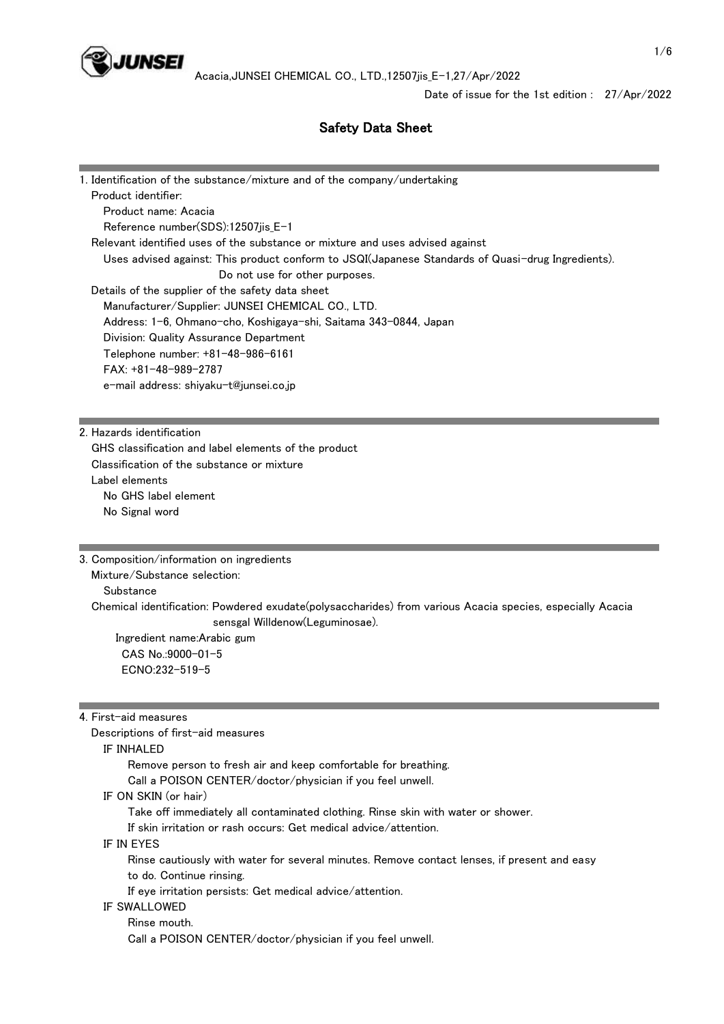

# Safety Data Sheet

| 1. Identification of the substance/mixture and of the company/undertaking                         |
|---------------------------------------------------------------------------------------------------|
| Product identifier:                                                                               |
| Product name: Acacia                                                                              |
| Reference number(SDS):12507jis_E-1                                                                |
| Relevant identified uses of the substance or mixture and uses advised against                     |
| Uses advised against: This product conform to JSQI(Japanese Standards of Quasi-drug Ingredients). |
| Do not use for other purposes.                                                                    |
| Details of the supplier of the safety data sheet                                                  |
| Manufacturer/Supplier: JUNSEI CHEMICAL CO., LTD.                                                  |
| Address: 1-6, Ohmano-cho, Koshigaya-shi, Saitama 343-0844, Japan                                  |
| Division: Quality Assurance Department                                                            |
| Telephone number: +81-48-986-6161                                                                 |
| $FAX: +81-48-989-2787$                                                                            |
| e-mail address: shiyaku-t@junsei.co.jp                                                            |
|                                                                                                   |

2. Hazards identification

 GHS classification and label elements of the product Classification of the substance or mixture Label elements No GHS label element No Signal word

3. Composition/information on ingredients

Mixture/Substance selection:

**Substance** 

 Chemical identification: Powdered exudate(polysaccharides) from various Acacia species, especially Acacia sensgal Willdenow(Leguminosae).

 Ingredient name:Arabic gum CAS No.:9000-01-5 ECNO:232-519-5

4. First-aid measures

Descriptions of first-aid measures

IF INHALED

Remove person to fresh air and keep comfortable for breathing.

Call a POISON CENTER/doctor/physician if you feel unwell.

IF ON SKIN (or hair)

Take off immediately all contaminated clothing. Rinse skin with water or shower.

If skin irritation or rash occurs: Get medical advice/attention.

IF IN EYES

 Rinse cautiously with water for several minutes. Remove contact lenses, if present and easy to do. Continue rinsing.

If eye irritation persists: Get medical advice/attention.

### IF SWALLOWED

 Rinse mouth. Call a POISON CENTER/doctor/physician if you feel unwell.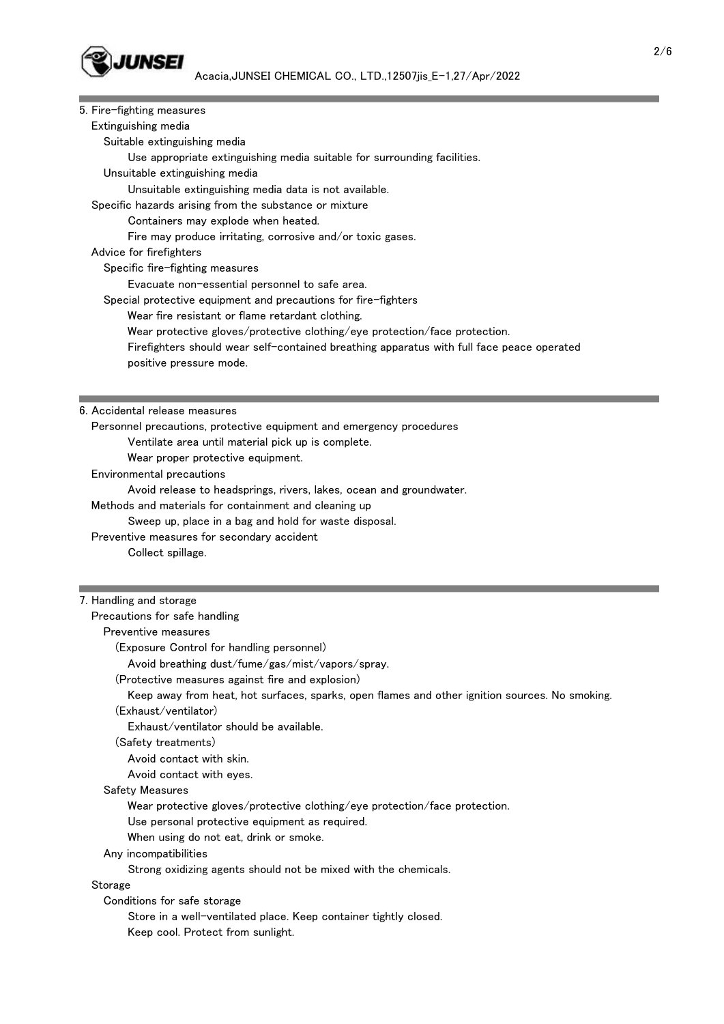

| 5. Fire-fighting measures                                                                      |
|------------------------------------------------------------------------------------------------|
| Extinguishing media                                                                            |
| Suitable extinguishing media                                                                   |
| Use appropriate extinguishing media suitable for surrounding facilities.                       |
| Unsuitable extinguishing media                                                                 |
| Unsuitable extinguishing media data is not available.                                          |
| Specific hazards arising from the substance or mixture                                         |
| Containers may explode when heated.                                                            |
| Fire may produce irritating, corrosive and/or toxic gases.                                     |
| Advice for firefighters                                                                        |
| Specific fire-fighting measures                                                                |
| Evacuate non-essential personnel to safe area.                                                 |
| Special protective equipment and precautions for fire-fighters                                 |
| Wear fire resistant or flame retardant clothing.                                               |
| Wear protective gloves/protective clothing/eye protection/face protection.                     |
| Firefighters should wear self-contained breathing apparatus with full face peace operated      |
| positive pressure mode.                                                                        |
|                                                                                                |
|                                                                                                |
| 6. Accidental release measures                                                                 |
| Personnel precautions, protective equipment and emergency procedures                           |
| Ventilate area until material pick up is complete.                                             |
| Wear proper protective equipment.                                                              |
| Environmental precautions                                                                      |
| Avoid release to headsprings, rivers, lakes, ocean and groundwater.                            |
| Methods and materials for containment and cleaning up                                          |
| Sweep up, place in a bag and hold for waste disposal.                                          |
| Preventive measures for secondary accident                                                     |
| Collect spillage.                                                                              |
|                                                                                                |
| 7. Handling and storage                                                                        |
| Precautions for safe handling                                                                  |
| Preventive measures                                                                            |
| (Exposure Control for handling personnel)                                                      |
| Avoid breathing dust/fume/gas/mist/vapors/spray.                                               |
| (Protective measures against fire and explosion)                                               |
| Keep away from heat, hot surfaces, sparks, open flames and other ignition sources. No smoking. |
| (Exhaust/ventilator)                                                                           |
| Exhaust/ventilator should be available.                                                        |
| (Safety treatments)                                                                            |
| Avoid contact with skin.                                                                       |
| Avoid contact with eyes.                                                                       |

Safety Measures

Wear protective gloves/protective clothing/eye protection/face protection.

Use personal protective equipment as required.

When using do not eat, drink or smoke.

Any incompatibilities

Strong oxidizing agents should not be mixed with the chemicals.

Storage

Conditions for safe storage

 Store in a well-ventilated place. Keep container tightly closed. Keep cool. Protect from sunlight.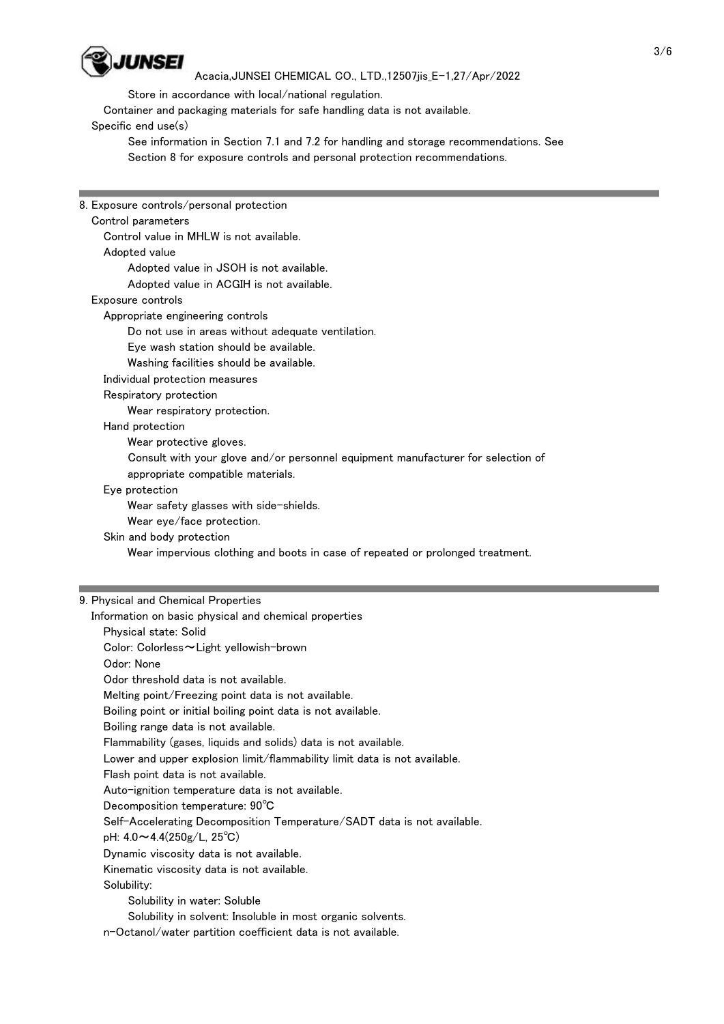

Store in accordance with local/national regulation.

Container and packaging materials for safe handling data is not available.

Specific end use(s)

 See information in Section 7.1 and 7.2 for handling and storage recommendations. See Section 8 for exposure controls and personal protection recommendations.

| 8. Exposure controls/personal protection                                                                                   |  |
|----------------------------------------------------------------------------------------------------------------------------|--|
| Control parameters                                                                                                         |  |
| Control value in MHLW is not available.                                                                                    |  |
| Adopted value                                                                                                              |  |
| Adopted value in JSOH is not available.                                                                                    |  |
| Adopted value in ACGIH is not available.                                                                                   |  |
| Exposure controls                                                                                                          |  |
| Appropriate engineering controls                                                                                           |  |
| Do not use in areas without adequate ventilation.                                                                          |  |
| Eye wash station should be available.                                                                                      |  |
| Washing facilities should be available.                                                                                    |  |
| Individual protection measures                                                                                             |  |
| Respiratory protection                                                                                                     |  |
| Wear respiratory protection.                                                                                               |  |
| Hand protection                                                                                                            |  |
| Wear protective gloves.                                                                                                    |  |
| Consult with your glove and/or personnel equipment manufacturer for selection of                                           |  |
| appropriate compatible materials.                                                                                          |  |
| Eye protection                                                                                                             |  |
| Wear safety glasses with side-shields.                                                                                     |  |
| Wear eye/face protection.                                                                                                  |  |
| Skin and body protection                                                                                                   |  |
|                                                                                                                            |  |
| Wear impervious clothing and boots in case of repeated or prolonged treatment.                                             |  |
|                                                                                                                            |  |
|                                                                                                                            |  |
| 9. Physical and Chemical Properties                                                                                        |  |
| Information on basic physical and chemical properties                                                                      |  |
| Physical state: Solid                                                                                                      |  |
| Color: Colorless~Light yellowish-brown                                                                                     |  |
| Odor: None                                                                                                                 |  |
| Odor threshold data is not available.                                                                                      |  |
| Melting point/Freezing point data is not available.                                                                        |  |
| Boiling point or initial boiling point data is not available.                                                              |  |
| Boiling range data is not available.                                                                                       |  |
| Flammability (gases, liquids and solids) data is not available.                                                            |  |
| Lower and upper explosion limit/flammability limit data is not available.                                                  |  |
| Flash point data is not available.                                                                                         |  |
| Auto-ignition temperature data is not available.                                                                           |  |
| Decomposition temperature: 90°C                                                                                            |  |
| Self-Accelerating Decomposition Temperature/SADT data is not available.                                                    |  |
| pH: $4.0 \sim 4.4(250g/L, 25^{\circ}C)$                                                                                    |  |
| Dynamic viscosity data is not available.                                                                                   |  |
| Kinematic viscosity data is not available.                                                                                 |  |
| Solubility:                                                                                                                |  |
| Solubility in water: Soluble                                                                                               |  |
| Solubility in solvent: Insoluble in most organic solvents.<br>n-Octanol/water partition coefficient data is not available. |  |

<u> Tanzania (</u>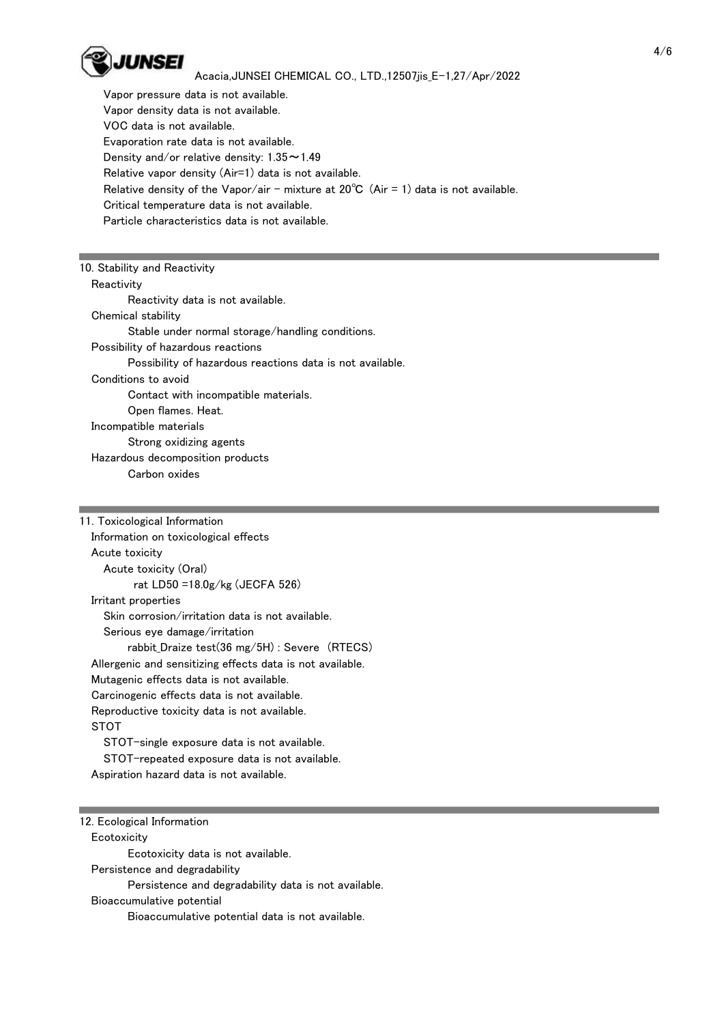

 Vapor pressure data is not available. Vapor density data is not available. VOC data is not available. Evaporation rate data is not available. Density and/or relative density:  $1.35 \sim 1.49$  Relative vapor density (Air=1) data is not available. Relative density of the Vapor/air - mixture at  $20^{\circ}$ C (Air = 1) data is not available. Critical temperature data is not available. Particle characteristics data is not available.

| 10. Stability and Reactivity                              |
|-----------------------------------------------------------|
| Reactivity                                                |
| Reactivity data is not available.                         |
| Chemical stability                                        |
| Stable under normal storage/handling conditions.          |
| Possibility of hazardous reactions                        |
| Possibility of hazardous reactions data is not available. |
| Conditions to avoid                                       |
| Contact with incompatible materials.                      |
| Open flames. Heat.                                        |
| Incompatible materials                                    |
| Strong oxidizing agents                                   |
| Hazardous decomposition products                          |
| Carbon oxides                                             |

| 11. Toxicological Information                             |
|-----------------------------------------------------------|
| Information on toxicological effects                      |
| Acute toxicity                                            |
| Acute toxicity (Oral)                                     |
| rat LD50 = $18.0$ g/kg (JECFA 526)                        |
| Irritant properties                                       |
| Skin corrosion/irritation data is not available.          |
| Serious eye damage/irritation                             |
| rabbit Draize test(36 mg/5H) : Severe (RTECS)             |
| Allergenic and sensitizing effects data is not available. |
| Mutagenic effects data is not available.                  |
| Carcinogenic effects data is not available.               |
| Reproductive toxicity data is not available.              |
| STOT                                                      |
| STOT-single exposure data is not available.               |
| STOT-repeated exposure data is not available.             |
| Aspiration hazard data is not available.                  |

## 12. Ecological Information

 Ecotoxicity Ecotoxicity data is not available. Persistence and degradability Persistence and degradability data is not available. Bioaccumulative potential Bioaccumulative potential data is not available.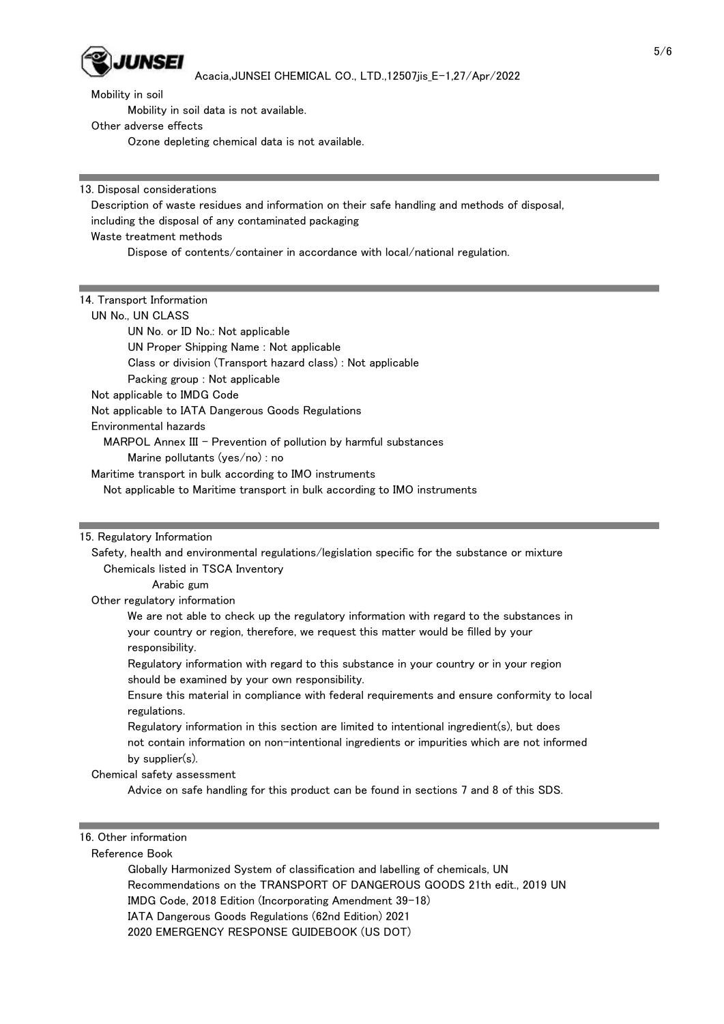

Mobility in soil data is not available.

Other adverse effects

Ozone depleting chemical data is not available.

13. Disposal considerations

 Description of waste residues and information on their safe handling and methods of disposal, including the disposal of any contaminated packaging Waste treatment methods

Dispose of contents/container in accordance with local/national regulation.

#### 14. Transport Information

UN No., UN CLASS

UN No. or ID No.: Not applicable

UN Proper Shipping Name : Not applicable

Class or division (Transport hazard class) : Not applicable

Packing group : Not applicable

Not applicable to IMDG Code

Not applicable to IATA Dangerous Goods Regulations

Environmental hazards

MARPOL Annex III - Prevention of pollution by harmful substances

Marine pollutants (yes/no) : no

Maritime transport in bulk according to IMO instruments

Not applicable to Maritime transport in bulk according to IMO instruments

#### 15. Regulatory Information

 Safety, health and environmental regulations/legislation specific for the substance or mixture Chemicals listed in TSCA Inventory

Arabic gum

Other regulatory information

 We are not able to check up the regulatory information with regard to the substances in your country or region, therefore, we request this matter would be filled by your responsibility.

 Regulatory information with regard to this substance in your country or in your region should be examined by your own responsibility.

 Ensure this material in compliance with federal requirements and ensure conformity to local regulations.

 Regulatory information in this section are limited to intentional ingredient(s), but does not contain information on non-intentional ingredients or impurities which are not informed by supplier(s).

Chemical safety assessment

Advice on safe handling for this product can be found in sections 7 and 8 of this SDS.

## 16. Other information

Reference Book

 Globally Harmonized System of classification and labelling of chemicals, UN Recommendations on the TRANSPORT OF DANGEROUS GOODS 21th edit., 2019 UN IMDG Code, 2018 Edition (Incorporating Amendment 39-18) IATA Dangerous Goods Regulations (62nd Edition) 2021 2020 EMERGENCY RESPONSE GUIDEBOOK (US DOT)